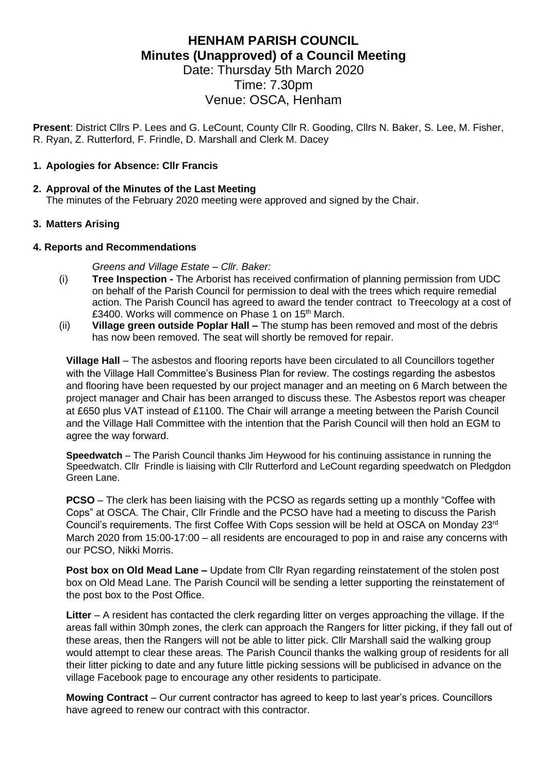# **HENHAM PARISH COUNCIL Minutes (Unapproved) of a Council Meeting** Date: Thursday 5th March 2020

Time: 7.30pm Venue: OSCA, Henham

**Present**: District Cllrs P. Lees and G. LeCount, County Cllr R. Gooding, Cllrs N. Baker, S. Lee, M. Fisher, R. Ryan, Z. Rutterford, F. Frindle, D. Marshall and Clerk M. Dacey

#### **1. Apologies for Absence: Cllr Francis**

#### **2. Approval of the Minutes of the Last Meeting**

The minutes of the February 2020 meeting were approved and signed by the Chair.

## **3. Matters Arising**

#### **4. Reports and Recommendations**

*Greens and Village Estate – Cllr. Baker:*

- (i) **Tree Inspection -** The Arborist has received confirmation of planning permission from UDC on behalf of the Parish Council for permission to deal with the trees which require remedial action. The Parish Council has agreed to award the tender contract to Treecology at a cost of £3400. Works will commence on Phase 1 on 15<sup>th</sup> March.
- (ii) **Village green outside Poplar Hall –** The stump has been removed and most of the debris has now been removed. The seat will shortly be removed for repair.

**Village Hall** – The asbestos and flooring reports have been circulated to all Councillors together with the Village Hall Committee's Business Plan for review. The costings regarding the asbestos and flooring have been requested by our project manager and an meeting on 6 March between the project manager and Chair has been arranged to discuss these. The Asbestos report was cheaper at £650 plus VAT instead of £1100. The Chair will arrange a meeting between the Parish Council and the Village Hall Committee with the intention that the Parish Council will then hold an EGM to agree the way forward.

**Speedwatch** – The Parish Council thanks Jim Heywood for his continuing assistance in running the Speedwatch. Cllr Frindle is liaising with Cllr Rutterford and LeCount regarding speedwatch on Pledgdon Green Lane.

**PCSO** – The clerk has been liaising with the PCSO as regards setting up a monthly "Coffee with Cops" at OSCA. The Chair, Cllr Frindle and the PCSO have had a meeting to discuss the Parish Council's requirements. The first Coffee With Cops session will be held at OSCA on Monday 23rd March 2020 from 15:00-17:00 – all residents are encouraged to pop in and raise any concerns with our PCSO, Nikki Morris.

**Post box on Old Mead Lane –** Update from Cllr Ryan regarding reinstatement of the stolen post box on Old Mead Lane. The Parish Council will be sending a letter supporting the reinstatement of the post box to the Post Office.

**Litter** – A resident has contacted the clerk regarding litter on verges approaching the village. If the areas fall within 30mph zones, the clerk can approach the Rangers for litter picking, if they fall out of these areas, then the Rangers will not be able to litter pick. Cllr Marshall said the walking group would attempt to clear these areas. The Parish Council thanks the walking group of residents for all their litter picking to date and any future little picking sessions will be publicised in advance on the village Facebook page to encourage any other residents to participate.

**Mowing Contract** – Our current contractor has agreed to keep to last year's prices. Councillors have agreed to renew our contract with this contractor.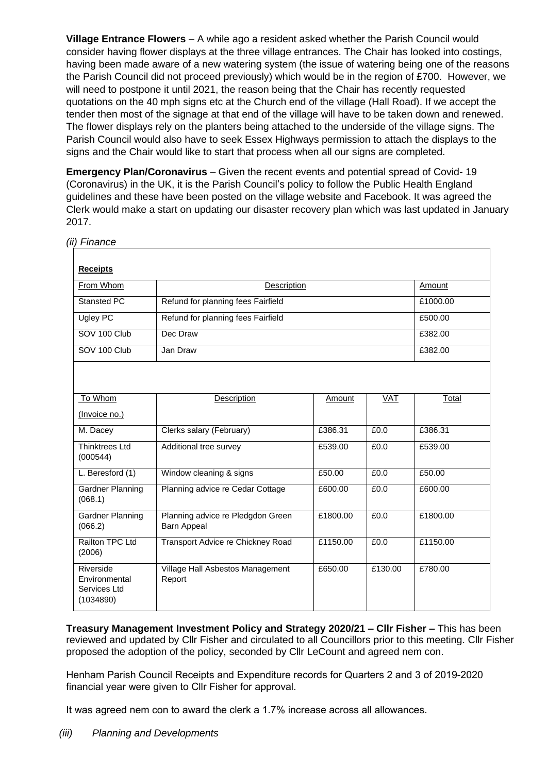**Village Entrance Flowers** – A while ago a resident asked whether the Parish Council would consider having flower displays at the three village entrances. The Chair has looked into costings, having been made aware of a new watering system (the issue of watering being one of the reasons the Parish Council did not proceed previously) which would be in the region of £700. However, we will need to postpone it until 2021, the reason being that the Chair has recently requested quotations on the 40 mph signs etc at the Church end of the village (Hall Road). If we accept the tender then most of the signage at that end of the village will have to be taken down and renewed. The flower displays rely on the planters being attached to the underside of the village signs. The Parish Council would also have to seek Essex Highways permission to attach the displays to the signs and the Chair would like to start that process when all our signs are completed.

**Emergency Plan/Coronavirus** – Given the recent events and potential spread of Covid- 19 (Coronavirus) in the UK, it is the Parish Council's policy to follow the Public Health England guidelines and these have been posted on the village website and Facebook. It was agreed the Clerk would make a start on updating our disaster recovery plan which was last updated in January 2017.

| <b>Receipts</b>                                         |                                                         |          |         |          |
|---------------------------------------------------------|---------------------------------------------------------|----------|---------|----------|
| From Whom                                               | Description                                             |          |         | Amount   |
|                                                         |                                                         |          |         |          |
| <b>Stansted PC</b>                                      | Refund for planning fees Fairfield                      |          |         | £1000.00 |
| <b>Ugley PC</b>                                         | Refund for planning fees Fairfield                      |          |         | £500.00  |
| SOV 100 Club                                            | Dec Draw                                                |          |         | £382.00  |
| SOV 100 Club                                            | Jan Draw                                                |          |         | £382.00  |
|                                                         |                                                         |          |         |          |
| To Whom                                                 | Description                                             | Amount   | VAT     | Total    |
| (Invoice no.)                                           |                                                         |          |         |          |
| M. Dacey                                                | Clerks salary (February)                                | £386.31  | £0.0    | £386.31  |
| <b>Thinktrees Ltd</b><br>(000544)                       | Additional tree survey                                  | £539.00  | £0.0    | £539.00  |
| L. Beresford (1)                                        | Window cleaning & signs                                 | £50.00   | £0.0    | £50.00   |
| Gardner Planning<br>(068.1)                             | Planning advice re Cedar Cottage                        | £600.00  | £0.0    | £600.00  |
| <b>Gardner Planning</b><br>(066.2)                      | Planning advice re Pledgdon Green<br><b>Barn Appeal</b> | £1800.00 | £0.0    | £1800.00 |
| Railton TPC Ltd<br>(2006)                               | Transport Advice re Chickney Road                       | £1150.00 | £0.0    | £1150.00 |
| Riverside<br>Environmental<br>Services Ltd<br>(1034890) | Village Hall Asbestos Management<br>Report              | £650.00  | £130.00 | £780.00  |

**Treasury Management Investment Policy and Strategy 2020/21 – Cllr Fisher –** This has been reviewed and updated by Cllr Fisher and circulated to all Councillors prior to this meeting. Cllr Fisher proposed the adoption of the policy, seconded by Cllr LeCount and agreed nem con.

Henham Parish Council Receipts and Expenditure records for Quarters 2 and 3 of 2019-2020 financial year were given to Cllr Fisher for approval.

It was agreed nem con to award the clerk a 1.7% increase across all allowances.

*(ii) Finance*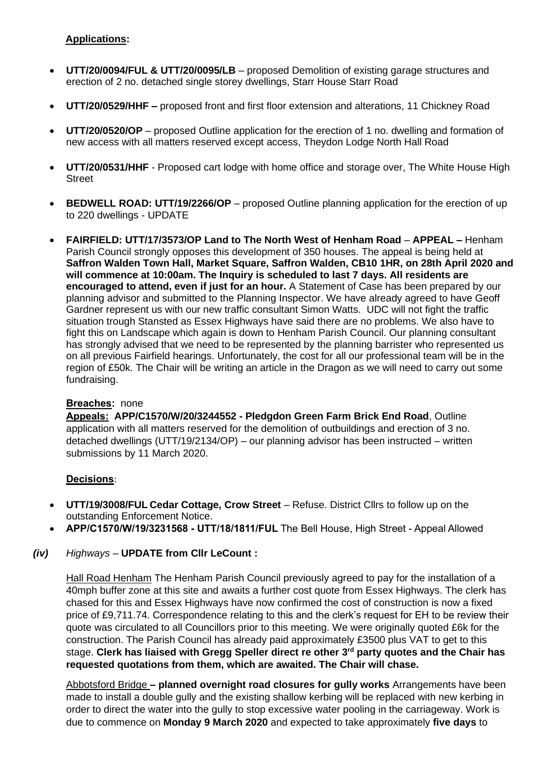## **Applications:**

- **UTT/20/0094/FUL & UTT/20/0095/LB** proposed Demolition of existing garage structures and erection of 2 no. detached single storey dwellings, Starr House Starr Road
- **UTT/20/0529/HHF –** proposed front and first floor extension and alterations, 11 Chickney Road
- **UTT/20/0520/OP** proposed Outline application for the erection of 1 no. dwelling and formation of new access with all matters reserved except access, Theydon Lodge North Hall Road
- **UTT/20/0531/HHF** Proposed cart lodge with home office and storage over, The White House High Street
- **BEDWELL ROAD: UTT/19/2266/OP** proposed Outline planning application for the erection of up to 220 dwellings - UPDATE
- **FAIRFIELD: UTT/17/3573/OP Land to The North West of Henham Road APPEAL –** Henham Parish Council strongly opposes this development of 350 houses. The appeal is being held at **Saffron Walden Town Hall, Market Square, Saffron Walden, CB10 1HR, on 28th April 2020 and will commence at 10:00am. The Inquiry is scheduled to last 7 days. All residents are encouraged to attend, even if just for an hour.** A Statement of Case has been prepared by our planning advisor and submitted to the Planning Inspector. We have already agreed to have Geoff Gardner represent us with our new traffic consultant Simon Watts. UDC will not fight the traffic situation trough Stansted as Essex Highways have said there are no problems. We also have to fight this on Landscape which again is down to Henham Parish Council. Our planning consultant has strongly advised that we need to be represented by the planning barrister who represented us on all previous Fairfield hearings. Unfortunately, the cost for all our professional team will be in the region of £50k. The Chair will be writing an article in the Dragon as we will need to carry out some fundraising.

#### **Breaches:** none

**Appeals: APP/C1570/W/20/3244552 - Pledgdon Green Farm Brick End Road**, Outline application with all matters reserved for the demolition of outbuildings and erection of 3 no. detached dwellings (UTT/19/2134/OP) – our planning advisor has been instructed – written submissions by 11 March 2020.

# **Decisions**:

- **UTT/19/3008/FUL Cedar Cottage, Crow Street** Refuse. District Cllrs to follow up on the outstanding Enforcement Notice.
- **APP/C1570/W/19/3231568 - UTT/18/1811/FUL** The Bell House, High Street Appeal Allowed
- *(iv) Highways –* **UPDATE from Cllr LeCount :**

Hall Road Henham The Henham Parish Council previously agreed to pay for the installation of a 40mph buffer zone at this site and awaits a further cost quote from Essex Highways. The clerk has chased for this and Essex Highways have now confirmed the cost of construction is now a fixed price of £9,711.74. Correspondence relating to this and the clerk's request for EH to be review their quote was circulated to all Councillors prior to this meeting. We were originally quoted £6k for the construction. The Parish Council has already paid approximately £3500 plus VAT to get to this stage. **Clerk has liaised with Gregg Speller direct re other 3rd party quotes and the Chair has requested quotations from them, which are awaited. The Chair will chase.**

Abbotsford Bridge **– planned overnight road closures for gully works** Arrangements have been made to install a double gully and the existing shallow kerbing will be replaced with new kerbing in order to direct the water into the gully to stop excessive water pooling in the carriageway. Work is due to commence on **Monday 9 March 2020** and expected to take approximately **five days** to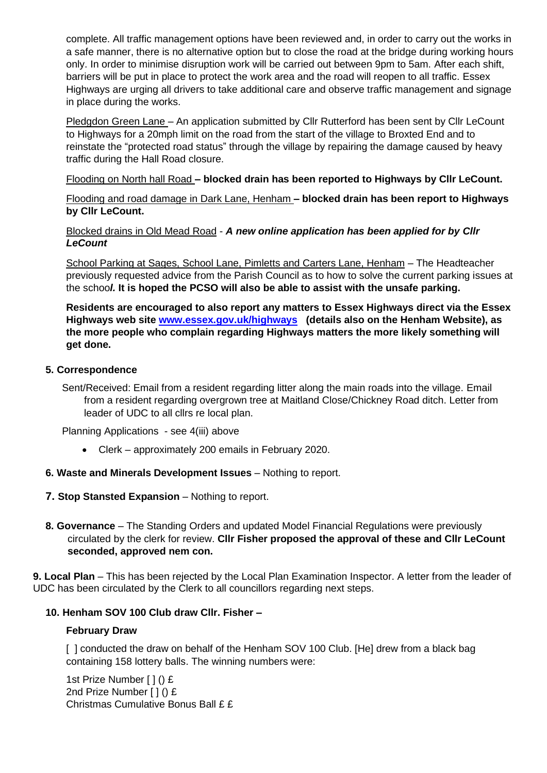complete. All traffic management options have been reviewed and, in order to carry out the works in a safe manner, there is no alternative option but to close the road at the bridge during working hours only. In order to minimise disruption work will be carried out between 9pm to 5am. After each shift, barriers will be put in place to protect the work area and the road will reopen to all traffic. Essex Highways are urging all drivers to take additional care and observe traffic management and signage in place during the works.

Pledgdon Green Lane – An application submitted by Cllr Rutterford has been sent by Cllr LeCount to Highways for a 20mph limit on the road from the start of the village to Broxted End and to reinstate the "protected road status" through the village by repairing the damage caused by heavy traffic during the Hall Road closure.

Flooding on North hall Road **– blocked drain has been reported to Highways by Cllr LeCount.**

Flooding and road damage in Dark Lane, Henham **– blocked drain has been report to Highways by Cllr LeCount.**

Blocked drains in Old Mead Road - *A new online application has been applied for by Cllr LeCount*

School Parking at Sages, School Lane, Pimletts and Carters Lane, Henham – The Headteacher previously requested advice from the Parish Council as to how to solve the current parking issues at the schoo*l.* **It is hoped the PCSO will also be able to assist with the unsafe parking.** 

**Residents are encouraged to also report any matters to Essex Highways direct via the Essex Highways web site [www.essex.gov.uk/highways](http://www.essex.gov.uk/highways) (details also on the Henham Website), as the more people who complain regarding Highways matters the more likely something will get done.**

## **5. Correspondence**

Sent/Received: Email from a resident regarding litter along the main roads into the village. Email from a resident regarding overgrown tree at Maitland Close/Chickney Road ditch. Letter from leader of UDC to all cllrs re local plan.

Planning Applications - see 4(iii) above

- Clerk approximately 200 emails in February 2020.
- **6. Waste and Minerals Development Issues** Nothing to report.
- **7. Stop Stansted Expansion** Nothing to report.
- **8. Governance**  The Standing Orders and updated Model Financial Regulations were previously circulated by the clerk for review. **Cllr Fisher proposed the approval of these and Cllr LeCount seconded, approved nem con.**

**9. Local Plan** – This has been rejected by the Local Plan Examination Inspector. A letter from the leader of UDC has been circulated by the Clerk to all councillors regarding next steps.

# **10. Henham SOV 100 Club draw Cllr. Fisher –**

#### **February Draw**

[ ] conducted the draw on behalf of the Henham SOV 100 Club. [He] drew from a black bag containing 158 lottery balls. The winning numbers were:

1st Prize Number [ ] () £ 2nd Prize Number [ ] () £ Christmas Cumulative Bonus Ball £ £